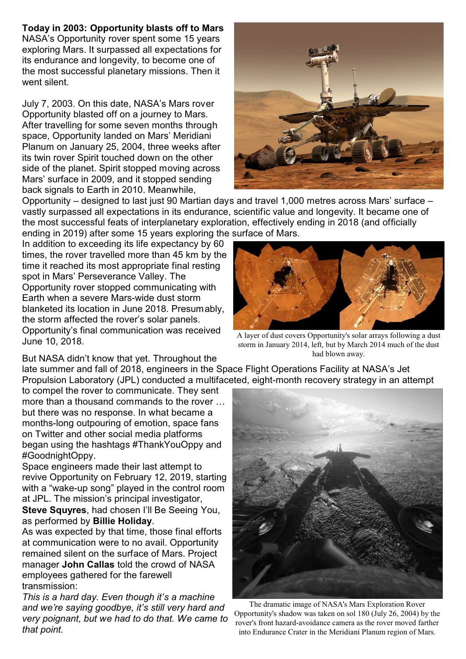## **Today in 2003: Opportunity blasts off to Mars**

NASA's Opportunity rover spent some 15 years exploring Mars. It surpassed all expectations for its endurance and longevity, to become one of the most successful planetary missions. Then it went silent.

July 7, 2003. On this date, NASA's Mars rover Opportunity blasted off on a journey to Mars. After travelling for some seven months through space, Opportunity landed on Mars' Meridiani Planum on January 25, 2004, three weeks after its twin rover Spirit touched down on the other side of the planet. Spirit stopped moving across Mars' surface in 2009, and it stopped sending back signals to Earth in 2010. Meanwhile,



Opportunity – designed to last just 90 Martian days and travel 1,000 metres across Mars' surface – vastly surpassed all expectations in its endurance, scientific value and longevity. It became one of the most successful feats of interplanetary exploration, effectively ending in 2018 (and officially ending in 2019) after some 15 years exploring the surface of Mars.

In addition to exceeding its life expectancy by 60 times, the rover travelled more than 45 km by the time it reached its most appropriate final resting spot in Mars' Perseverance Valley. The Opportunity rover stopped communicating with Earth when a severe Mars-wide dust storm blanketed its location in June 2018. Presumably, the storm affected the rover's solar panels. Opportunity's final communication was received June 10, 2018.



A layer of dust covers Opportunity's solar arrays following a dust storm in January 2014, left, but by March 2014 much of the dust had blown away.

But NASA didn't know that yet. Throughout the late summer and fall of 2018, engineers in the Space Flight Operations Facility at NASA's Jet Propulsion Laboratory (JPL) conducted a multifaceted, eight-month recovery strategy in an attempt

to compel the rover to communicate. They sent more than a thousand commands to the rover … but there was no response. In what became a months-long outpouring of emotion, space fans on Twitter and other social media platforms began using the hashtags #ThankYouOppy and #GoodnightOppy.

Space engineers made their last attempt to revive Opportunity on February 12, 2019, starting with a "wake-up song" played in the control room at JPL. The mission's principal investigator, **Steve Squyres**, had chosen I'll Be Seeing You, as performed by **Billie Holiday**.

As was expected by that time, those final efforts at communication were to no avail. Opportunity remained silent on the surface of Mars. Project manager **John Callas** told the crowd of NASA employees gathered for the farewell transmission:

*This is a hard day. Even though it's a machine and we're saying goodbye, it's still very hard and very poignant, but we had to do that. We came to that point.*



The dramatic image of NASA's Mars Exploration Rover Opportunity's shadow was taken on sol 180 (July 26, 2004) by the rover's front hazard-avoidance camera as the rover moved farther into Endurance Crater in the Meridiani Planum region of Mars.